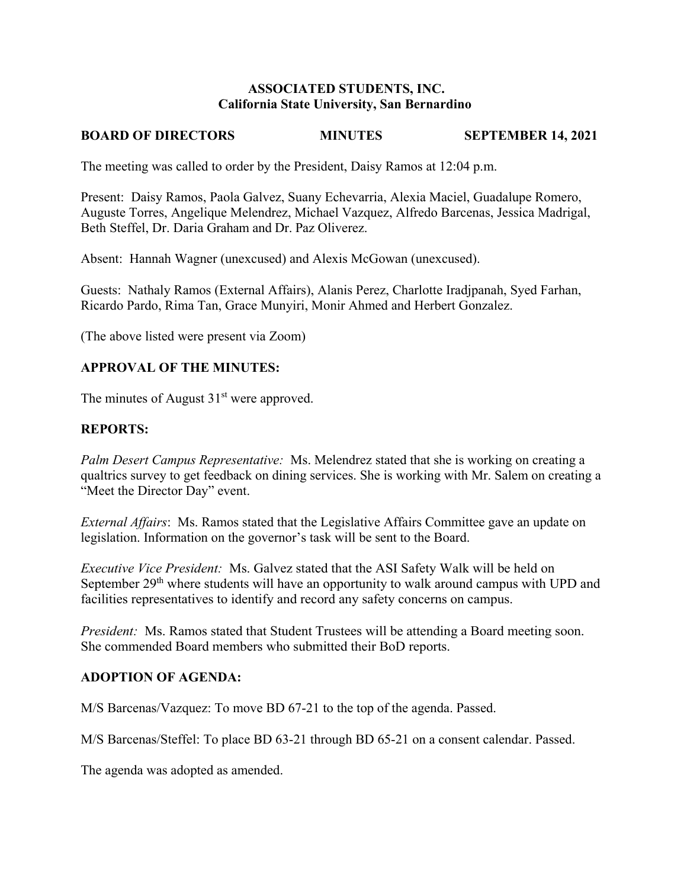### **ASSOCIATED STUDENTS, INC. California State University, San Bernardino**

# **BOARD OF DIRECTORS MINUTES SEPTEMBER 14, 2021**

The meeting was called to order by the President, Daisy Ramos at 12:04 p.m.

Present: Daisy Ramos, Paola Galvez, Suany Echevarria, Alexia Maciel, Guadalupe Romero, Auguste Torres, Angelique Melendrez, Michael Vazquez, Alfredo Barcenas, Jessica Madrigal, Beth Steffel, Dr. Daria Graham and Dr. Paz Oliverez.

Absent: Hannah Wagner (unexcused) and Alexis McGowan (unexcused).

Guests: Nathaly Ramos (External Affairs), Alanis Perez, Charlotte Iradjpanah, Syed Farhan, Ricardo Pardo, Rima Tan, Grace Munyiri, Monir Ahmed and Herbert Gonzalez.

(The above listed were present via Zoom)

# **APPROVAL OF THE MINUTES:**

The minutes of August  $31<sup>st</sup>$  were approved.

## **REPORTS:**

*Palm Desert Campus Representative:* Ms. Melendrez stated that she is working on creating a qualtrics survey to get feedback on dining services. She is working with Mr. Salem on creating a "Meet the Director Day" event.

*External Affairs*: Ms. Ramos stated that the Legislative Affairs Committee gave an update on legislation. Information on the governor's task will be sent to the Board.

*Executive Vice President:* Ms. Galvez stated that the ASI Safety Walk will be held on September  $29<sup>th</sup>$  where students will have an opportunity to walk around campus with UPD and facilities representatives to identify and record any safety concerns on campus.

*President:* Ms. Ramos stated that Student Trustees will be attending a Board meeting soon. She commended Board members who submitted their BoD reports.

# **ADOPTION OF AGENDA:**

M/S Barcenas/Vazquez: To move BD 67-21 to the top of the agenda. Passed.

M/S Barcenas/Steffel: To place BD 63-21 through BD 65-21 on a consent calendar. Passed.

The agenda was adopted as amended.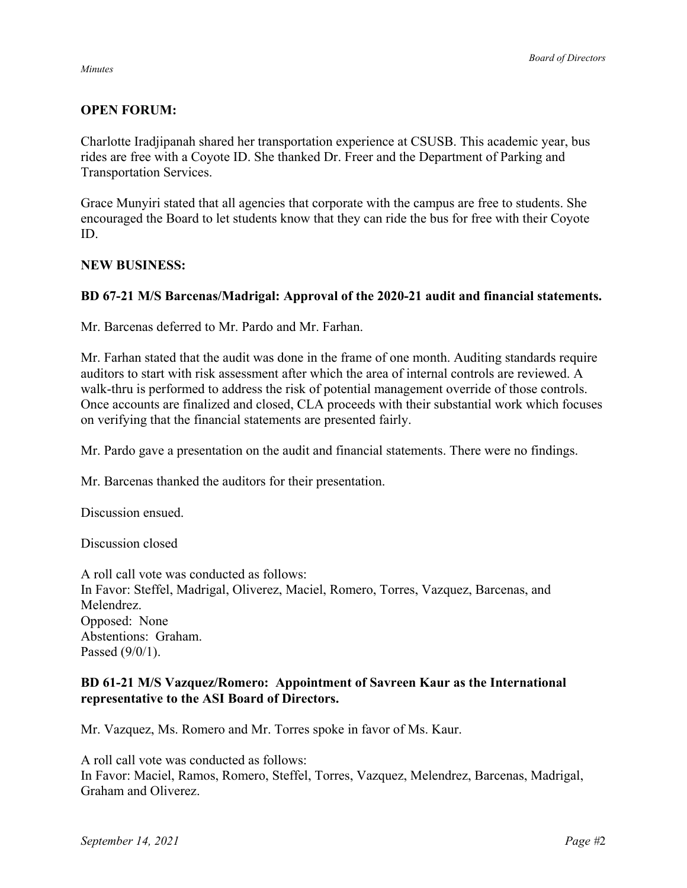#### *Minutes*

# **OPEN FORUM:**

Charlotte Iradjipanah shared her transportation experience at CSUSB. This academic year, bus rides are free with a Coyote ID. She thanked Dr. Freer and the Department of Parking and Transportation Services.

Grace Munyiri stated that all agencies that corporate with the campus are free to students. She encouraged the Board to let students know that they can ride the bus for free with their Coyote ID.

#### **NEW BUSINESS:**

### **BD 67-21 M/S Barcenas/Madrigal: Approval of the 2020-21 audit and financial statements.**

Mr. Barcenas deferred to Mr. Pardo and Mr. Farhan.

Mr. Farhan stated that the audit was done in the frame of one month. Auditing standards require auditors to start with risk assessment after which the area of internal controls are reviewed. A walk-thru is performed to address the risk of potential management override of those controls. Once accounts are finalized and closed, CLA proceeds with their substantial work which focuses on verifying that the financial statements are presented fairly.

Mr. Pardo gave a presentation on the audit and financial statements. There were no findings.

Mr. Barcenas thanked the auditors for their presentation.

Discussion ensued.

Discussion closed

A roll call vote was conducted as follows: In Favor: Steffel, Madrigal, Oliverez, Maciel, Romero, Torres, Vazquez, Barcenas, and Melendrez. Opposed: None Abstentions: Graham. Passed (9/0/1).

### **BD 61-21 M/S Vazquez/Romero: Appointment of Savreen Kaur as the International representative to the ASI Board of Directors.**

Mr. Vazquez, Ms. Romero and Mr. Torres spoke in favor of Ms. Kaur.

A roll call vote was conducted as follows: In Favor: Maciel, Ramos, Romero, Steffel, Torres, Vazquez, Melendrez, Barcenas, Madrigal, Graham and Oliverez.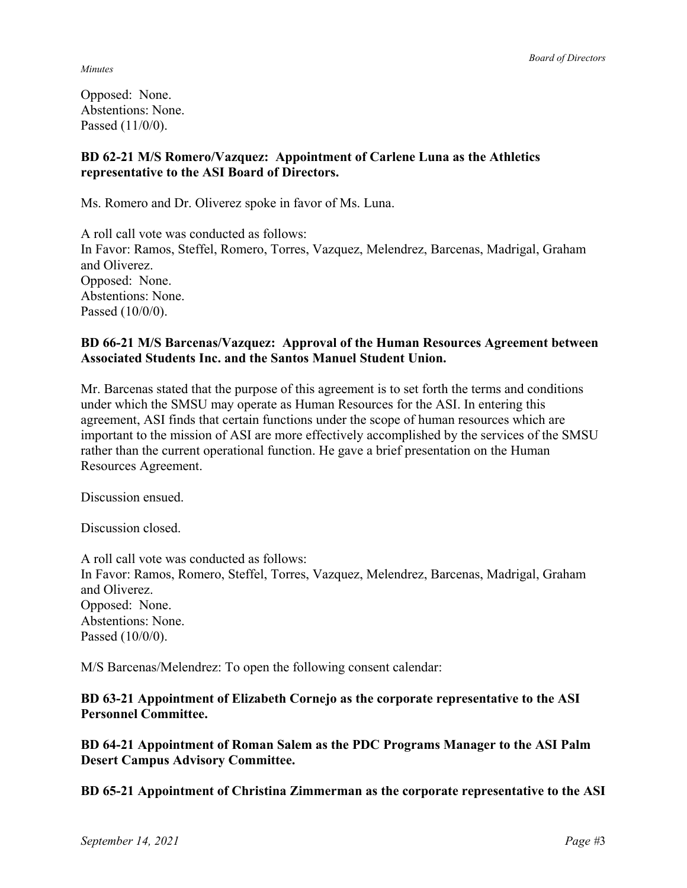*Minutes*

Opposed: None. Abstentions: None. Passed (11/0/0).

## **BD 62-21 M/S Romero/Vazquez: Appointment of Carlene Luna as the Athletics representative to the ASI Board of Directors.**

Ms. Romero and Dr. Oliverez spoke in favor of Ms. Luna.

A roll call vote was conducted as follows: In Favor: Ramos, Steffel, Romero, Torres, Vazquez, Melendrez, Barcenas, Madrigal, Graham and Oliverez. Opposed: None. Abstentions: None. Passed (10/0/0).

## **BD 66-21 M/S Barcenas/Vazquez: Approval of the Human Resources Agreement between Associated Students Inc. and the Santos Manuel Student Union.**

Mr. Barcenas stated that the purpose of this agreement is to set forth the terms and conditions under which the SMSU may operate as Human Resources for the ASI. In entering this agreement, ASI finds that certain functions under the scope of human resources which are important to the mission of ASI are more effectively accomplished by the services of the SMSU rather than the current operational function. He gave a brief presentation on the Human Resources Agreement.

Discussion ensued.

Discussion closed.

A roll call vote was conducted as follows: In Favor: Ramos, Romero, Steffel, Torres, Vazquez, Melendrez, Barcenas, Madrigal, Graham and Oliverez. Opposed: None. Abstentions: None. Passed (10/0/0).

M/S Barcenas/Melendrez: To open the following consent calendar:

**BD 63-21 Appointment of Elizabeth Cornejo as the corporate representative to the ASI Personnel Committee.** 

**BD 64-21 Appointment of Roman Salem as the PDC Programs Manager to the ASI Palm Desert Campus Advisory Committee.**

**BD 65-21 Appointment of Christina Zimmerman as the corporate representative to the ASI**